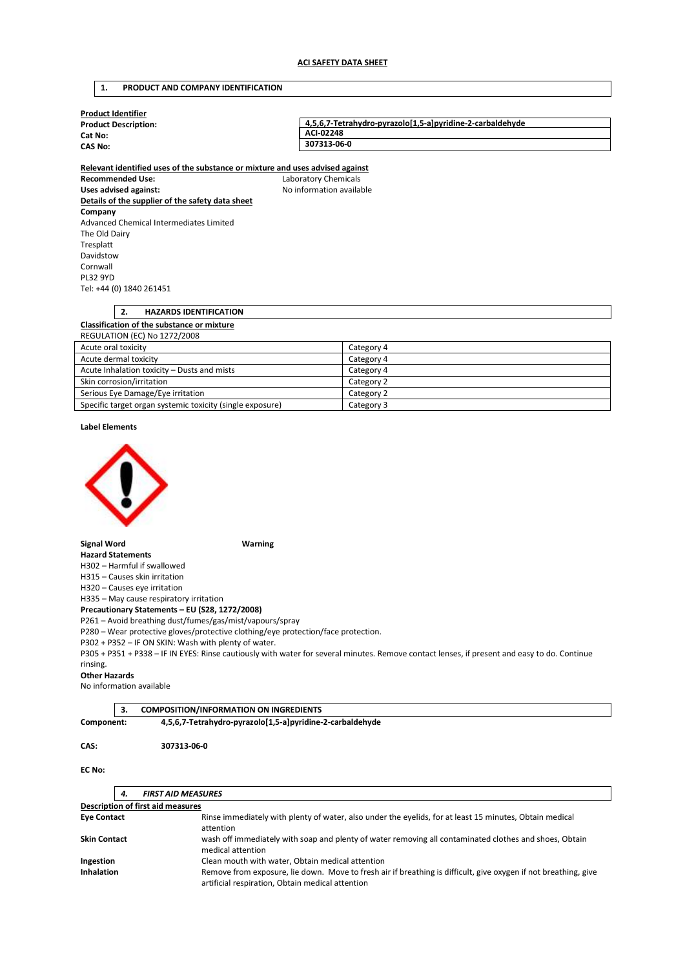## **1. PRODUCT AND COMPANY IDENTIFICATION**

| <b>Product Identifier</b>   |                                                           |  |
|-----------------------------|-----------------------------------------------------------|--|
| <b>Product Description:</b> | 4.5.6.7-Tetrahydro-pyrazolo[1.5-a]pyridine-2-carbaldehyde |  |
| Cat No:                     | ACI-02248                                                 |  |
| <b>CAS No:</b>              | 307313-06-0                                               |  |
|                             |                                                           |  |

**Relevant identified uses of the substance or mixture and uses advised against Recommended Use:** Laboratory Chemicals Uses advised against: **No information available Details of the supplier of the safety data sheet Company**  Advanced Chemical Intermediates Limited The Old Dairy Tresplatt Davidstow Cornwall PL32 9YD Tel: +44 (0) 1840 261451

# **2. HAZARDS IDENTIFICATION Classification of the substance or mixture**  REGULATION (EC) No 1272/2008 Acute oral toxicity Category 4

| Acute dermal toxicity                                     | Category 4 |
|-----------------------------------------------------------|------------|
| Acute Inhalation toxicity - Dusts and mists               | Category 4 |
| Skin corrosion/irritation                                 | Category 2 |
| Serious Eye Damage/Eye irritation                         | Category 2 |
| Specific target organ systemic toxicity (single exposure) | Category 3 |

## **Label Elements**



## **Signal Word Warning**

**Hazard Statements**  H302 – Harmful if swallowed

H315 – Causes skin irritation

H320 – Causes eye irritation

H335 – May cause respiratory irritation

**Precautionary Statements – EU (S28, 1272/2008)** 

P261 – Avoid breathing dust/fumes/gas/mist/vapours/spray

P280 – Wear protective gloves/protective clothing/eye protection/face protection.

P302 + P352 – IF ON SKIN: Wash with plenty of water.

P305 + P351 + P338 – IF IN EYES: Rinse cautiously with water for several minutes. Remove contact lenses, if present and easy to do. Continue rinsing.

## **Other Hazards**

No information available

**3. COMPOSITION/INFORMATION ON INGREDIENTS** 

**Component: 4,5,6,7-Tetrahydro-pyrazolo[1,5-a]pyridine-2-carbaldehyde** 

## **CAS: 307313-06-0**

## **EC No:**

| 4.                                       | <b>FIRST AID MEASURES</b>                                                                                                                                           |
|------------------------------------------|---------------------------------------------------------------------------------------------------------------------------------------------------------------------|
| <b>Description of first aid measures</b> |                                                                                                                                                                     |
| <b>Eye Contact</b>                       | Rinse immediately with plenty of water, also under the eyelids, for at least 15 minutes, Obtain medical<br>attention                                                |
| <b>Skin Contact</b>                      | wash off immediately with soap and plenty of water removing all contaminated clothes and shoes, Obtain<br>medical attention                                         |
| Ingestion                                | Clean mouth with water, Obtain medical attention                                                                                                                    |
| <b>Inhalation</b>                        | Remove from exposure, lie down. Move to fresh air if breathing is difficult, give oxygen if not breathing, give<br>artificial respiration, Obtain medical attention |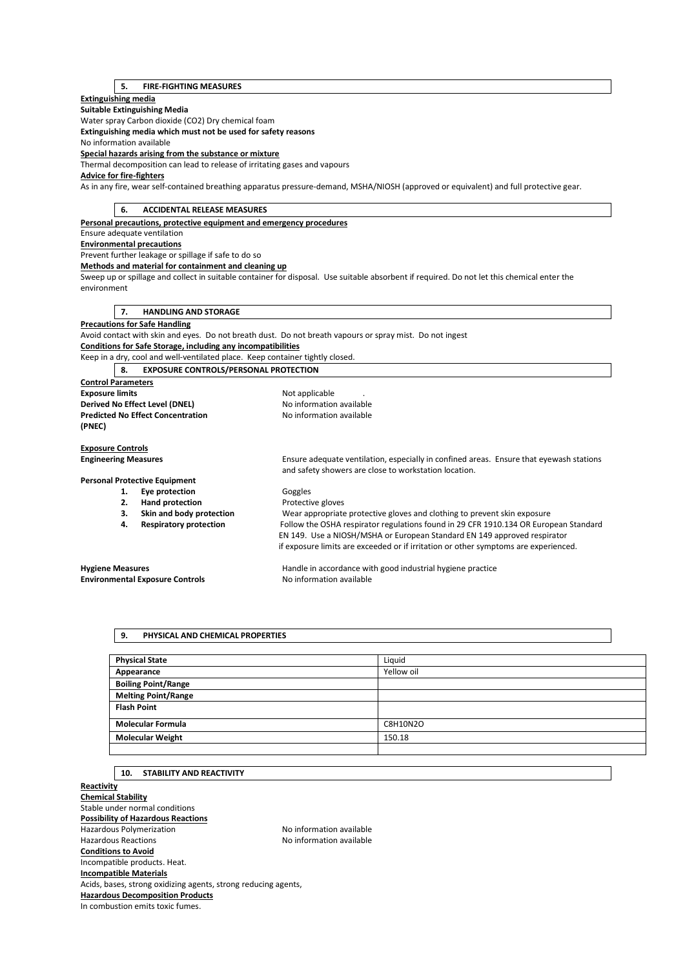# **5. FIRE-FIGHTING MEASURES**

## **Extinguishing media**

**Suitable Extinguishing Media** 

Water spray Carbon dioxide (CO2) Dry chemical foam

**Extinguishing media which must not be used for safety reasons** 

No information available

**Special hazards arising from the substance or mixture** 

Thermal decomposition can lead to release of irritating gases and vapours

# **Advice for fire-fighters**

As in any fire, wear self-contained breathing apparatus pressure-demand, MSHA/NIOSH (approved or equivalent) and full protective gear.

| <b>ACCIDENTAL RELEASE MEASURES</b><br>6.                                      |                                                                                                                                                  |
|-------------------------------------------------------------------------------|--------------------------------------------------------------------------------------------------------------------------------------------------|
| Personal precautions, protective equipment and emergency procedures           |                                                                                                                                                  |
| Ensure adequate ventilation                                                   |                                                                                                                                                  |
| <b>Environmental precautions</b>                                              |                                                                                                                                                  |
| Prevent further leakage or spillage if safe to do so                          |                                                                                                                                                  |
| Methods and material for containment and cleaning up                          |                                                                                                                                                  |
|                                                                               | Sweep up or spillage and collect in suitable container for disposal. Use suitable absorbent if required. Do not let this chemical enter the      |
| environment                                                                   |                                                                                                                                                  |
|                                                                               |                                                                                                                                                  |
| <b>HANDLING AND STORAGE</b><br>7.                                             |                                                                                                                                                  |
| <b>Precautions for Safe Handling</b>                                          |                                                                                                                                                  |
|                                                                               | Avoid contact with skin and eyes. Do not breath dust. Do not breath vapours or spray mist. Do not ingest                                         |
| <b>Conditions for Safe Storage, including any incompatibilities</b>           |                                                                                                                                                  |
| Keep in a dry, cool and well-ventilated place. Keep container tightly closed. |                                                                                                                                                  |
| <b>EXPOSURE CONTROLS/PERSONAL PROTECTION</b><br>8.                            |                                                                                                                                                  |
| <b>Control Parameters</b>                                                     |                                                                                                                                                  |
| <b>Exposure limits</b>                                                        | Not applicable                                                                                                                                   |
| Derived No Effect Level (DNEL)                                                | No information available                                                                                                                         |
| <b>Predicted No Effect Concentration</b>                                      | No information available                                                                                                                         |
| (PNEC)                                                                        |                                                                                                                                                  |
|                                                                               |                                                                                                                                                  |
| <b>Exposure Controls</b>                                                      |                                                                                                                                                  |
| <b>Engineering Measures</b>                                                   | Ensure adequate ventilation, especially in confined areas. Ensure that eyewash stations<br>and safety showers are close to workstation location. |
| <b>Personal Protective Equipment</b>                                          |                                                                                                                                                  |
| Eye protection<br>1.                                                          | Goggles                                                                                                                                          |
| 2.<br><b>Hand protection</b>                                                  | Protective gloves                                                                                                                                |
| Skin and body protection<br>3.                                                | Wear appropriate protective gloves and clothing to prevent skin exposure                                                                         |
| <b>Respiratory protection</b><br>4.                                           | Follow the OSHA respirator regulations found in 29 CFR 1910.134 OR European Standard                                                             |
|                                                                               | EN 149. Use a NIOSH/MSHA or European Standard EN 149 approved respirator                                                                         |
|                                                                               | if exposure limits are exceeded or if irritation or other symptoms are experienced.                                                              |
|                                                                               |                                                                                                                                                  |
| <b>Hygiene Measures</b>                                                       | Handle in accordance with good industrial hygiene practice                                                                                       |
| <b>Environmental Exposure Controls</b>                                        | No information available                                                                                                                         |
|                                                                               |                                                                                                                                                  |

**9. PHYSICAL AND CHEMICAL PROPERTIES** 

| <b>Physical State</b>      | Liquid          |
|----------------------------|-----------------|
| Appearance                 | Yellow oil      |
| <b>Boiling Point/Range</b> |                 |
| <b>Melting Point/Range</b> |                 |
| <b>Flash Point</b>         |                 |
| <b>Molecular Formula</b>   | <b>C8H10N2O</b> |
| <b>Molecular Weight</b>    | 150.18          |
|                            |                 |

# **10. STABILITY AND REACTIVITY**

**Reactivity Chemical Stability**  Stable under normal conditions **Possibility of Hazardous Reactions**  Hazardous Polymerization and the Society of the No information available<br>Hazardous Reactions available No information available No information available **Conditions to Avoid**  Incompatible products. Heat. **Incompatible Materials**  Acids, bases, strong oxidizing agents, strong reducing agents, **Hazardous Decomposition Products**  In combustion emits toxic fumes.